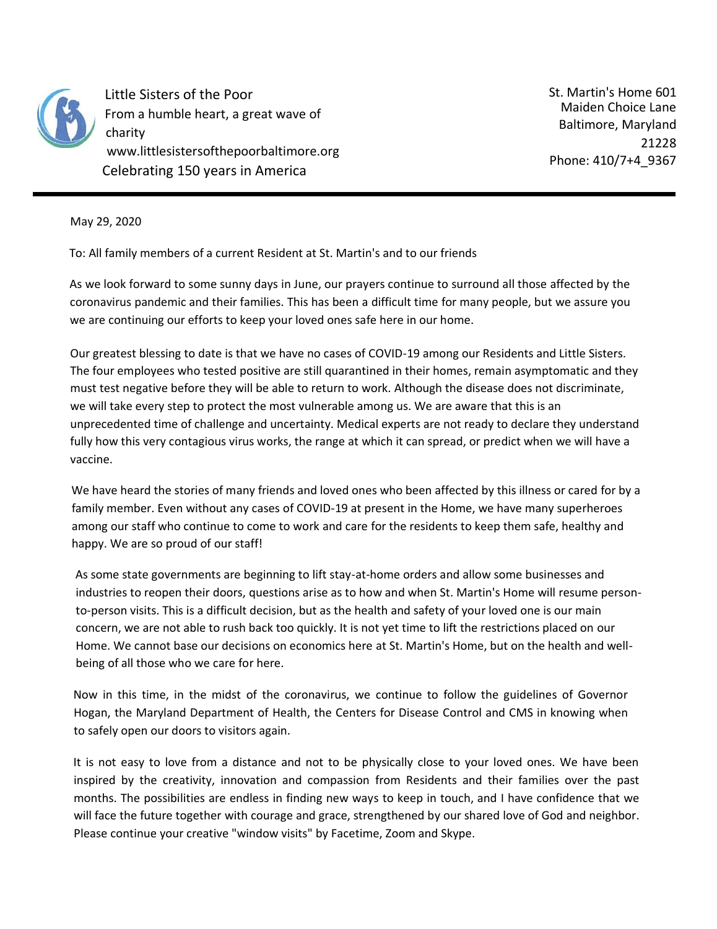

Little Sisters of the Poor From a humble heart, a great wave of charity www.littlesistersofthepoorbaltimore.org Celebrating 150 years in America

St. Martin's Home 601 Maiden Choice Lane Baltimore, Maryland 21228 Phone: 410/7+4\_9367

May 29, 2020

To: All family members of a current Resident at St. Martin's and to our friends

As we look forward to some sunny days in June, our prayers continue to surround all those affected by the coronavirus pandemic and their families. This has been a difficult time for many people, but we assure you we are continuing our efforts to keep your loved ones safe here in our home.

Our greatest blessing to date is that we have no cases of COVID-19 among our Residents and Little Sisters. The four employees who tested positive are still quarantined in their homes, remain asymptomatic and they must test negative before they will be able to return to work. Although the disease does not discriminate, we will take every step to protect the most vulnerable among us. We are aware that this is an unprecedented time of challenge and uncertainty. Medical experts are not ready to declare they understand fully how this very contagious virus works, the range at which it can spread, or predict when we will have a vaccine.

We have heard the stories of many friends and loved ones who been affected by this illness or cared for by a family member. Even without any cases of COVID-19 at present in the Home, we have many superheroes among our staff who continue to come to work and care for the residents to keep them safe, healthy and happy. We are so proud of our staff!

As some state governments are beginning to lift stay-at-home orders and allow some businesses and industries to reopen their doors, questions arise as to how and when St. Martin's Home will resume personto-person visits. This is a difficult decision, but as the health and safety of your loved one is our main concern, we are not able to rush back too quickly. It is not yet time to lift the restrictions placed on our Home. We cannot base our decisions on economics here at St. Martin's Home, but on the health and wellbeing of all those who we care for here.

Now in this time, in the midst of the coronavirus, we continue to follow the guidelines of Governor Hogan, the Maryland Department of Health, the Centers for Disease Control and CMS in knowing when to safely open our doors to visitors again.

It is not easy to love from a distance and not to be physically close to your loved ones. We have been inspired by the creativity, innovation and compassion from Residents and their families over the past months. The possibilities are endless in finding new ways to keep in touch, and I have confidence that we will face the future together with courage and grace, strengthened by our shared love of God and neighbor. Please continue your creative "window visits" by Facetime, Zoom and Skype.